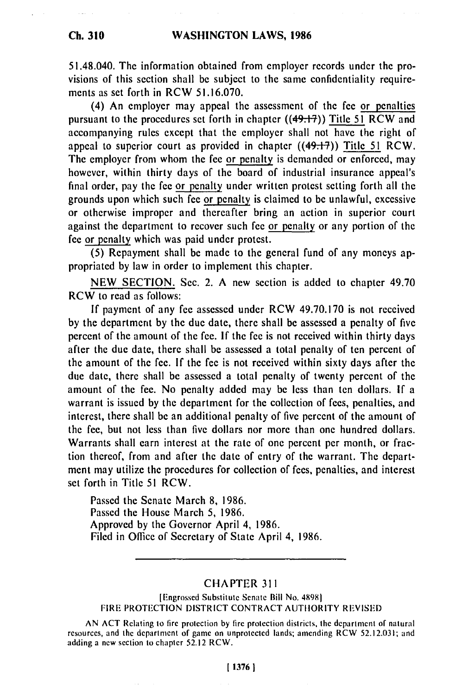**Ch. 310**

51.48.040. The information obtained from employer records under the provisions of this section shall be subject to the same confidentiality requirements as set forth in RCW **51.16.070.**

(4) An employer may appeal the assessment of the fee or penalties pursuant to the procedures set forth in chapter ((491-7)) Title **51** RCW and accompanying rules except that the employer shall not have the right of appeal to superior court as provided in chapter ((491-7)) Title **51** RCW. The employer from whom the fee or penalty is demanded or enforced, may however, within thirty days of the board of industrial insurance appeal's final order, pay the fee or penalty under written protest setting forth all the grounds upon which such fee or penalty is claimed to be unlawful, excessive or otherwise improper and thereafter bring an action in superior court against the department to recover such fee or penalty or any portion of the fee or penalty which was paid under protest.

**(5)** Repayment shall be made to the general fund of any moneys appropriated **by** law in order to implement this chapter.

**NEW SECTION.** Sec. 2. **A** new section is added to chapter 49.70 RCW to read as follows:

**If** payment of any fee assessed under RCW **49.70.170** is not received **by** the department **by** the due date, there shall be assessed a penalty of five percent of the amount of the fee. **If** the **fee** is not received within thirty days after the due date, there shall be assessed a total penalty of ten percent of the amount of the fee. **If** the fee is not received within sixty days after the due date, there shall be assessed a total penalty of twenty percent of the amount of the fee. No penalty added may be less than ten dollars. **If** a warrant is issued **by** the department for the collection of fees, penalties, and interest, there shall be an additional penalty of five percent of the amount of the fee, but not less than five dollars nor more than one hundred dollars. Warrants shall earn interest at the rate of one percent per month, or fraction thereof, from and after the date of entry of the warrant. The department may utilize the procedures for collection of fees, penalties, and interest set forth in Title 51 RCW.

Passed the Senate March 8, 1986. Passed the House March 5, 1986. Approved by the Governor April 4, 1986. Filed in Office of Secretary of State April 4, 1986.

## CHAPTER <sup>311</sup>

[Engrossed Substitute Senate Bill No. 48981 FIRE PROTECTION DISTRICT CONTRACT AUTHORITY REVISED

AN ACT Relating to fire protection by fire protection districts, the department of natural resources, and the department of game on unprotected lands; amending RCW 52.12.031; and adding a new section to chapter 52.12 RCW.

## **[ 1376 1**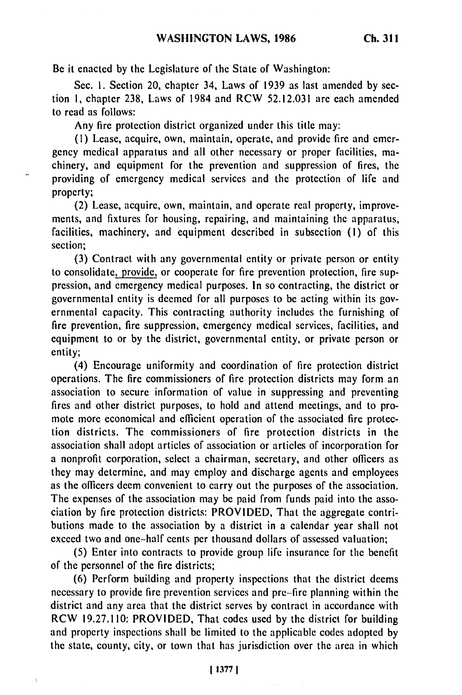Be it enacted **by** the Legislature of the State of Washington:

Sec. 1. Section 20, chapter 34, Laws of 1939 as last amended by section **1,** chapter 238, Laws of 1984 and RCW 52.12.031 are each amended to read as follows:

Any fire protection district organized under this title may:

(1) Lease, acquire, own, maintain, operate, and provide fire and emergency medical apparatus and all other necessary or proper facilities, machinery, and equipment for the prevention and suppression of fires, the providing of emergency medical services and the protection of life and property;

(2) Lease, acquire, own, maintain, and operate real property, improvements, and fixtures for housing, repairing, and maintaining the apparatus, facilities, machinery, and equipment described in subsection (I) of this section;

(3) Contract with any governmental entity or private person or entity to consolidate, provide, or cooperate for fire prevention protection, fire suppression, and emergency medical purposes. In so contracting, the district or governmental entity is deemed for all purposes to be acting within its governmental capacity. This contracting authority includes the furnishing of fire prevention, fire suppression, emergency medical services, facilities, and equipment to or by the district, governmental entity, or private person or entity;

(4) Encourage uniformity and coordination of fire protection district operations. The fire commissioners of fire protection districts may form an association to secure information of value in suppressing and preventing fires and other district purposes, to hold and attend meetings, and to promote more economical and efficient operation of the associated fire protection districts. The commissioners of fire protection districts in the association shall adopt articles of association or articles of incorporation for a nonprofit corporation, select a chairman, secretary, and other officers as they may determine, and may employ and discharge agents and employees as the officers deem convenient to carry out the purposes of the association. The expenses of the association may be paid from funds paid into the association by fire protection districts: PROVIDED, That the aggregate contributions made to the association by a district in a calendar year shall not exceed two and one-half cents per thousand dollars of assessed valuation;

(5) Enter into contracts to provide group life insurance for the benefit of the personnel of the fire districts;

(6) Perform building and property inspections that the district deems necessary to provide fire prevention services and pre-fire planning within the district and any area that the district serves by contract in accordance with RCW 19.27.110: PROVIDED, That codes used by the district for building and property inspections shall be limited to the applicable codes adopted by the state, county, city, or town that has jurisdiction over the area in which